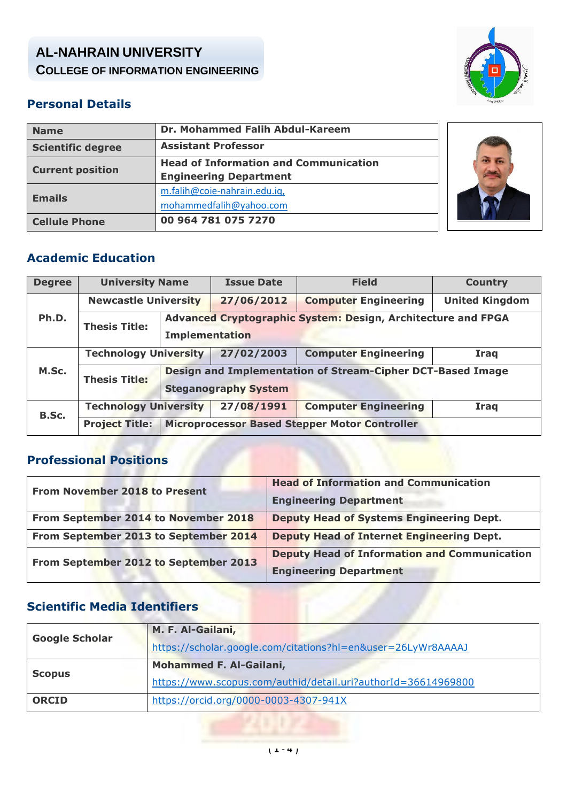# **AL-NAHRAIN UNIVERSITY COLLEGE OF INFORMATION ENGINEERING**



# **Personal Details**

|                      | <b>Name</b>              | Dr. Mohammed Falih Abdul-Kareem              |  |
|----------------------|--------------------------|----------------------------------------------|--|
|                      | <b>Scientific degree</b> | <b>Assistant Professor</b>                   |  |
|                      | <b>Current position</b>  | <b>Head of Information and Communication</b> |  |
|                      |                          | <b>Engineering Department</b>                |  |
|                      | <b>Emails</b>            | m.falih@coie-nahrain.edu.iq,                 |  |
|                      |                          | mohammedfalih@yahoo.com                      |  |
| <b>Cellule Phone</b> |                          | 00 964 781 075 7270                          |  |
|                      |                          |                                              |  |



## **Academic Education**

| <b>Degree</b> | <b>University Name</b>                     |                                                                                           | <b>Issue Date</b>           | <b>Field</b>                                  | <b>Country</b>        |
|---------------|--------------------------------------------|-------------------------------------------------------------------------------------------|-----------------------------|-----------------------------------------------|-----------------------|
|               | <b>Newcastle University</b>                |                                                                                           | 27/06/2012                  | <b>Computer Engineering</b>                   | <b>United Kingdom</b> |
| Ph.D.         | <b>Thesis Title:</b>                       | Advanced Cryptographic System: Design, Architecture and FPGA<br><b>Implementation</b>     |                             |                                               |                       |
|               | <b>Technology University</b>               |                                                                                           | 27/02/2003                  | <b>Computer Engineering</b>                   | Iraq                  |
| M.Sc.         | <b>Thesis Title:</b>                       | Design and Implementation of Stream-Cipher DCT-Based Image<br><b>Steganography System</b> |                             |                                               |                       |
| B.Sc.         | 27/08/1991<br><b>Technology University</b> |                                                                                           | <b>Computer Engineering</b> | <b>Iraq</b>                                   |                       |
|               | <b>Project Title:</b>                      |                                                                                           |                             | Microprocessor Based Stepper Motor Controller |                       |

# **Professional Positions**

| <b>From November 2018 to Present</b>  | <b>Head of Information and Communication</b>        |  |
|---------------------------------------|-----------------------------------------------------|--|
|                                       | <b>Engineering Department</b>                       |  |
| From September 2014 to November 2018  | <b>Deputy Head of Systems Engineering Dept.</b>     |  |
| From September 2013 to September 2014 | <b>Deputy Head of Internet Engineering Dept.</b>    |  |
| From September 2012 to September 2013 | <b>Deputy Head of Information and Communication</b> |  |
|                                       | <b>Engineering Department</b>                       |  |

# **Scientific Media Identifiers**

| <b>Google Scholar</b> | M. F. Al-Gailani,                                             |
|-----------------------|---------------------------------------------------------------|
|                       | https://scholar.google.com/citations?hl=en&user=26LyWr8AAAAJ  |
|                       | <b>Mohammed F. Al-Gailani,</b>                                |
| <b>Scopus</b>         | https://www.scopus.com/authid/detail.uri?authorId=36614969800 |
| <b>ORCID</b>          | https://orcid.org/0000-0003-4307-941X                         |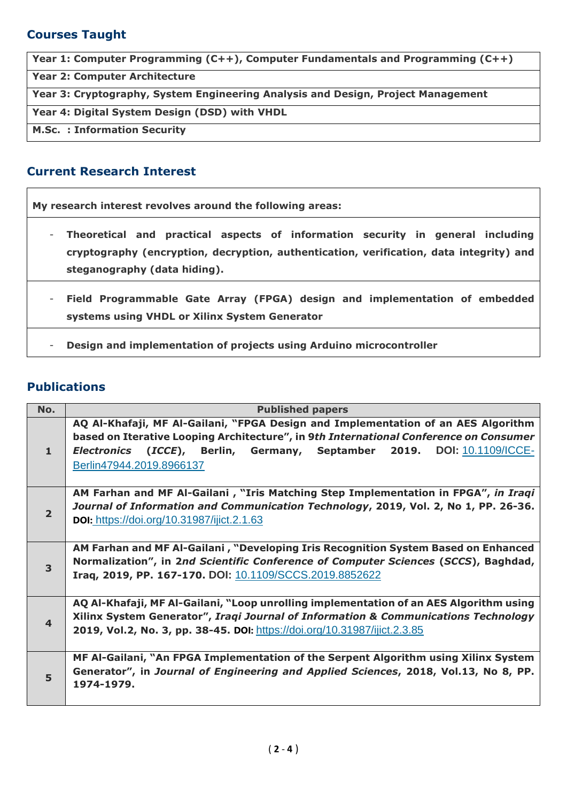## **Courses Taught**

**Year 1: Computer Programming (C++), Computer Fundamentals and Programming (C++)**

**Year 2: Computer Architecture**

**Year 3: Cryptography, System Engineering Analysis and Design, Project Management** 

**Year 4: Digital System Design (DSD) with VHDL**

**M.Sc. : Information Security** 

#### **Current Research Interest**

**My research interest revolves around the following areas:**

- **Theoretical and practical aspects of information security in general including cryptography (encryption, decryption, authentication, verification, data integrity) and steganography (data hiding).**
- **Field Programmable Gate Array (FPGA) design and implementation of embedded systems using VHDL or Xilinx System Generator**
- **Design and implementation of projects using Arduino microcontroller**

#### **Publications**

| No.            | <b>Published papers</b>                                                                                                                                                    |  |  |
|----------------|----------------------------------------------------------------------------------------------------------------------------------------------------------------------------|--|--|
|                | AQ Al-Khafaji, MF Al-Gailani, "FPGA Design and Implementation of an AES Algorithm<br>based on Iterative Looping Architecture", in 9th International Conference on Consumer |  |  |
| $\mathbf{1}$   | <b>Electronics (ICCE), Berlin, Germany, Septamber 2019. DOI:</b> 10.1109/ICCE-<br>Berlin47944.2019.8966137                                                                 |  |  |
|                | AM Farhan and MF Al-Gailani, "Iris Matching Step Implementation in FPGA", in Iragi                                                                                         |  |  |
| $\overline{2}$ | Journal of Information and Communication Technology, 2019, Vol. 2, No 1, PP. 26-36.                                                                                        |  |  |
|                | <b>DOI:</b> https://doi.org/10.31987/ijict.2.1.63                                                                                                                          |  |  |
|                | AM Farhan and MF Al-Gailani, "Developing Iris Recognition System Based on Enhanced                                                                                         |  |  |
| 3              | Normalization", in 2nd Scientific Conference of Computer Sciences (SCCS), Baghdad,                                                                                         |  |  |
|                | Iraq, 2019, PP. 167-170. DOI: 10.1109/SCCS.2019.8852622                                                                                                                    |  |  |
|                | AQ Al-Khafaji, MF Al-Gailani, "Loop unrolling implementation of an AES Algorithm using                                                                                     |  |  |
| $\overline{4}$ | Xilinx System Generator", Iragi Journal of Information & Communications Technology                                                                                         |  |  |
|                | 2019, Vol.2, No. 3, pp. 38-45. DOI: https://doi.org/10.31987/ijict.2.3.85                                                                                                  |  |  |
|                | MF Al-Gailani, "An FPGA Implementation of the Serpent Algorithm using Xilinx System                                                                                        |  |  |
| 5              | Generator", in Journal of Engineering and Applied Sciences, 2018, Vol.13, No 8, PP.                                                                                        |  |  |
|                | 1974-1979.                                                                                                                                                                 |  |  |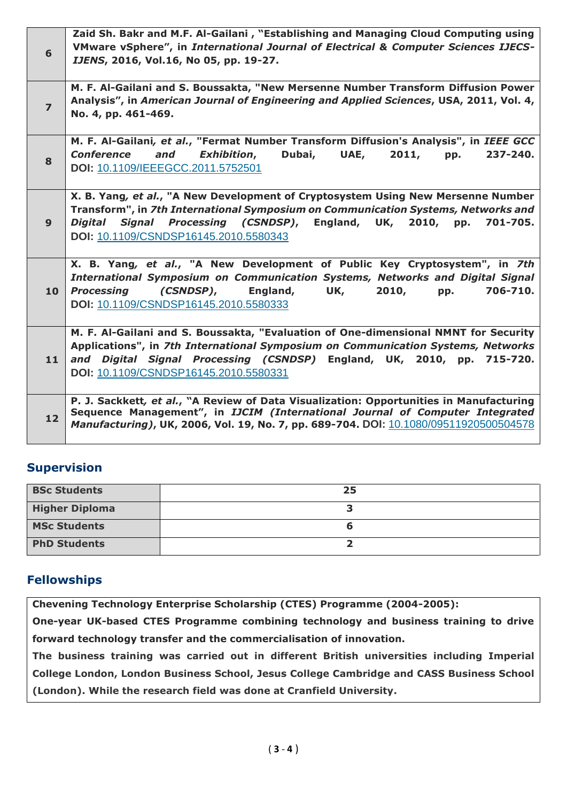| 6              | Zaid Sh. Bakr and M.F. Al-Gailani, "Establishing and Managing Cloud Computing using<br>VMware vSphere", in International Journal of Electrical & Computer Sciences IJECS-<br>IJENS, 2016, Vol.16, No 05, pp. 19-27.                                                                            |
|----------------|------------------------------------------------------------------------------------------------------------------------------------------------------------------------------------------------------------------------------------------------------------------------------------------------|
| $\overline{z}$ | M. F. Al-Gailani and S. Boussakta, "New Mersenne Number Transform Diffusion Power<br>Analysis", in American Journal of Engineering and Applied Sciences, USA, 2011, Vol. 4,<br>No. 4, pp. 461-469.                                                                                             |
| 8              | M. F. Al-Gailani, et al., "Fermat Number Transform Diffusion's Analysis", in IEEE GCC<br><b>Exhibition,</b><br>Dubai,<br>and<br>UAE,<br>2011,<br>237-240.<br><b>Conference</b><br>pp.<br>DOI: 10.1109/IEEEGCC.2011.5752501                                                                     |
| 9              | X. B. Yang, et al., "A New Development of Cryptosystem Using New Mersenne Number<br>Transform", in 7th International Symposium on Communication Systems, Networks and<br>Digital Signal Processing (CSNDSP), England, UK,<br>2010,<br>701-705.<br>pp.<br>DOI: 10.1109/CSNDSP16145.2010.5580343 |
| 10             | X. B. Yang, et al., "A New Development of Public Key Cryptosystem", in 7th<br>International Symposium on Communication Systems, Networks and Digital Signal<br>England,<br>2010,<br>706-710.<br><b>Processing</b><br>(CSNDSP),<br>UK,<br>pp.<br>DOI: 10.1109/CSNDSP16145.2010.5580333          |
| 11             | M. F. Al-Gailani and S. Boussakta, "Evaluation of One-dimensional NMNT for Security<br>Applications", in 7th International Symposium on Communication Systems, Networks<br>and Digital Signal Processing (CSNDSP) England, UK, 2010, pp. 715-720.<br>DOI: 10.1109/CSNDSP16145.2010.5580331     |
| 12             | P. J. Sackkett, et al., "A Review of Data Visualization: Opportunities in Manufacturing<br>Sequence Management", in IJCIM (International Journal of Computer Integrated<br>Manufacturing), UK, 2006, Vol. 19, No. 7, pp. 689-704. DOI: 10.1080/09511920500504578                               |

## **Supervision**

| <b>BSc Students</b>   | 25 |
|-----------------------|----|
| <b>Higher Diploma</b> |    |
| <b>MSc Students</b>   |    |
| <b>PhD Students</b>   |    |

#### **Fellowships**

**Chevening Technology Enterprise Scholarship (CTES) Programme (2004-2005):** 

**One-year UK-based CTES Programme combining technology and business training to drive forward technology transfer and the commercialisation of innovation.**

**The business training was carried out in different British universities including Imperial College London, London Business School, Jesus College Cambridge and CASS Business School (London). While the research field was done at Cranfield University.**